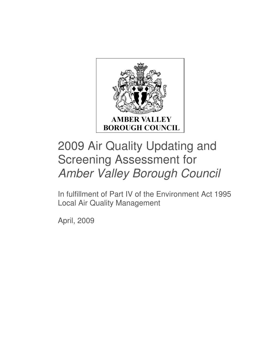

# 2009 Air Quality Updating and Screening Assessment for Amber Valley Borough Council

In fulfillment of Part IV of the Environment Act 1995 Local Air Quality Management

April, 2009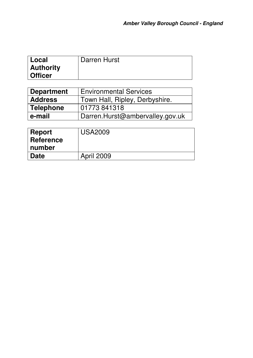| l Local          | Darren Hurst |
|------------------|--------------|
| <b>Authority</b> |              |
| <b>Officer</b>   |              |

| Department     | <b>Environmental Services</b>   |  |
|----------------|---------------------------------|--|
| <b>Address</b> | Town Hall, Ripley, Derbyshire.  |  |
| Telephone      | 01773841318                     |  |
| l e-mail       | Darren.Hurst@ambervalley.gov.uk |  |

| ∣ Report    | <b>USA2009</b>    |
|-------------|-------------------|
| Reference   |                   |
| ∣ number    |                   |
| <b>Date</b> | <b>April 2009</b> |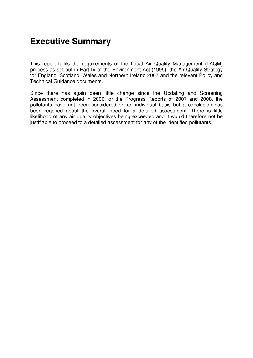## **Executive Summary**

This report fulfils the requirements of the Local Air Quality Management (LAQM) process as set out in Part IV of the Environment Act (1995), the Air Quality Strategy for England, Scotland, Wales and Northern Ireland 2007 and the relevant Policy and Technical Guidance documents.

Since there has again been little change since the Updating and Screening Assessment completed in 2006, or the Progress Reports of 2007 and 2008, the pollutants have not been considered on an individual basis but a conclusion has been reached about the overall need for a detailed assessment. There is little likelihood of any air quality objectives being exceeded and it would therefore not be justifiable to proceed to a detailed assessment for any of the identified pollutants.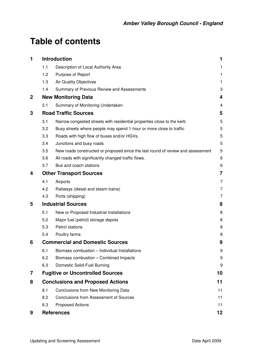## **Table of contents**

| 1           | <b>Introduction</b>                     |                                                                                 | 1                       |
|-------------|-----------------------------------------|---------------------------------------------------------------------------------|-------------------------|
|             | 1.1                                     | Description of Local Authority Area                                             | 1                       |
|             | 1.2                                     | Purpose of Report                                                               | $\mathbf{1}$            |
|             | 1.3                                     | Air Quality Objectives                                                          | 1                       |
|             | 1.4                                     | Summary of Previous Review and Assessments                                      | 3                       |
| $\mathbf 2$ | <b>New Monitoring Data</b>              |                                                                                 |                         |
|             | 2.1                                     | Summary of Monitoring Undertaken                                                | $\overline{\mathbf{4}}$ |
| 3           | <b>Road Traffic Sources</b>             |                                                                                 | 5                       |
|             | 3.1                                     | Narrow congested streets with residential properties close to the kerb          | 5                       |
|             | 3.2                                     | Busy streets where people may spend 1-hour or more close to traffic             | 5                       |
|             | 3.3                                     | Roads with high flow of buses and/or HGVs.                                      | 5                       |
|             | 3.4                                     | Junctions and busy roads                                                        | 5                       |
|             | 3.5                                     | New roads constructed or proposed since the last round of review and assessment | 5                       |
|             | 3.6                                     | All roads with significantly changed traffic flows.                             | 6                       |
|             | 3.7                                     | Bus and coach stations                                                          | 6                       |
| 4           | <b>Other Transport Sources</b>          |                                                                                 |                         |
|             | 4.1                                     | Airports                                                                        | $\overline{7}$          |
|             | 4.2                                     | Railways (diesel and steam trains)                                              | 7                       |
|             | 4.3                                     | Ports (shipping)                                                                | 7                       |
| 5           | <b>Industrial Sources</b>               |                                                                                 | 8                       |
|             | 5.1                                     | New or Proposed Industrial Installations                                        | 8                       |
|             | 5.2                                     | Major fuel (petrol) storage depots                                              | 8                       |
|             | 5.3                                     | Petrol stations                                                                 | 8                       |
|             | 5.4                                     | Poultry farms                                                                   | 8                       |
| 6           | <b>Commercial and Domestic Sources</b>  |                                                                                 | 9                       |
|             | 6.1                                     | Biomass combustion - Individual Installations                                   | 9                       |
|             | 6.2                                     | Biomass combustion - Combined Impacts                                           | 9                       |
|             | 6.3                                     | Domestic Solid-Fuel Burning                                                     | 9                       |
| 7           |                                         | <b>Fugitive or Uncontrolled Sources</b>                                         | 10                      |
| 8           | <b>Conclusions and Proposed Actions</b> |                                                                                 | 11                      |
|             | 8.1                                     | Conclusions from New Monitoring Data                                            | 11                      |
|             | 8.2                                     | <b>Conclusions from Assessment of Sources</b>                                   | 11                      |
|             | 8.3                                     | <b>Proposed Actions</b>                                                         | 11                      |
| 9           |                                         | <b>References</b>                                                               | 12                      |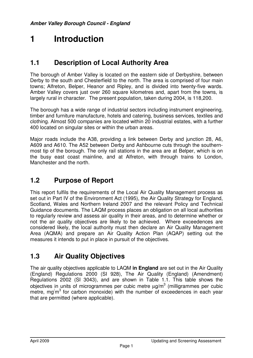## **1 Introduction**

## **1.1 Description of Local Authority Area**

The borough of Amber Valley is located on the eastern side of Derbyshire, between Derby to the south and Chesterfield to the north. The area is comprised of four main towns; Alfreton, Belper, Heanor and Ripley, and is divided into twenty-five wards. Amber Valley covers just over 260 square kilometres and, apart from the towns, is largely rural in character. The present population, taken during 2004, is 118,200.

The borough has a wide range of industrial sectors including instrument engineering, timber and furniture manufacture, hotels and catering, business services, textiles and clothing. Almost 500 companies are located within 20 industrial estates, with a further 400 located on singular sites or within the urban areas.

Major roads include the A38, providing a link between Derby and junction 28, A6, A609 and A610. The A52 between Derby and Ashbourne cuts through the southernmost tip of the borough. The only rail stations in the area are at Belper, which is on the busy east coast mainline, and at Alfreton, with through trains to London, Manchester and the north.

## **1.2 Purpose of Report**

This report fulfils the requirements of the Local Air Quality Management process as set out in Part IV of the Environment Act (1995), the Air Quality Strategy for England, Scotland, Wales and Northern Ireland 2007 and the relevant Policy and Technical Guidance documents. The LAQM process places an obligation on all local authorities to regularly review and assess air quality in their areas, and to determine whether or not the air quality objectives are likely to be achieved. Where exceedences are considered likely, the local authority must then declare an Air Quality Management Area (AQMA) and prepare an Air Quality Action Plan (AQAP) setting out the measures it intends to put in place in pursuit of the objectives.

## **1.3 Air Quality Objectives**

The air quality objectives applicable to LAQM **in England** are set out in the Air Quality (England) Regulations 2000 (SI 928), The Air Quality (England) (Amendment) Regulations 2002 (SI 3043), and are shown in Table 1.1. This table shows the objectives in units of microgrammes per cubic metre  $\mu$ g/m<sup>3</sup> (milligrammes per cubic metre, mg $/m<sup>3</sup>$  for carbon monoxide) with the number of exceedences in each year that are permitted (where applicable).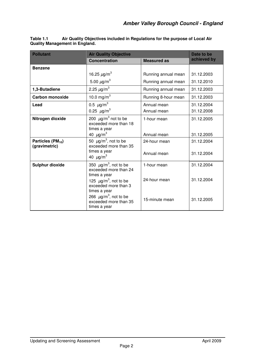| <b>Pollutant</b>                               | <b>Air Quality Objective</b>                                                                                                                      |                                | Date to be               |
|------------------------------------------------|---------------------------------------------------------------------------------------------------------------------------------------------------|--------------------------------|--------------------------|
|                                                | <b>Concentration</b>                                                                                                                              | <b>Measured as</b>             | achieved by              |
| <b>Benzene</b>                                 |                                                                                                                                                   |                                |                          |
|                                                | 16.25 $\mu$ g/m <sup>3</sup>                                                                                                                      | Running annual mean            | 31.12.2003               |
|                                                | 5.00 $\mu$ g/m <sup>3</sup>                                                                                                                       | Running annual mean            | 31.12.2010               |
| 1,3-Butadiene                                  | 2.25 $\mu$ g/m <sup>3</sup>                                                                                                                       | Running annual mean            | 31.12.2003               |
| <b>Carbon monoxide</b>                         | 10.0 mg/m <sup>3</sup>                                                                                                                            | Running 8-hour mean            | 31.12.2003               |
| Lead                                           | 0.5 $\mu$ g/m <sup>3</sup><br>0.25 $\mu$ g/m <sup>3</sup>                                                                                         | Annual mean<br>Annual mean     | 31.12.2004<br>31.12.2008 |
| Nitrogen dioxide                               | 200 $\mu$ g/m <sup>3</sup> not to be<br>exceeded more than 18<br>times a year                                                                     | 1-hour mean                    | 31.12.2005               |
|                                                | 40 $\mu$ g/m <sup>3</sup>                                                                                                                         | Annual mean                    | 31.12.2005               |
| Particles (PM <sub>10</sub> )<br>(gravimetric) | 50 $\mu$ g/m <sup>3</sup> , not to be<br>exceeded more than 35<br>times a year<br>40 $\mu$ g/m <sup>3</sup>                                       | 24-hour mean<br>Annual mean    | 31.12.2004<br>31.12.2004 |
| <b>Sulphur dioxide</b>                         | 350 $\mu$ g/m <sup>3</sup> , not to be<br>exceeded more than 24<br>times a year                                                                   | 1-hour mean                    | 31.12.2004               |
|                                                | 125 $\mu$ g/m <sup>3</sup> , not to be<br>exceeded more than 3<br>times a year<br>266 $\mu$ g/m <sup>3</sup> , not to be<br>exceeded more than 35 | 24-hour mean<br>15-minute mean | 31.12.2004<br>31.12.2005 |
|                                                | times a year                                                                                                                                      |                                |                          |

**Table 1.1 Air Quality Objectives included in Regulations for the purpose of Local Air Quality Management in England.**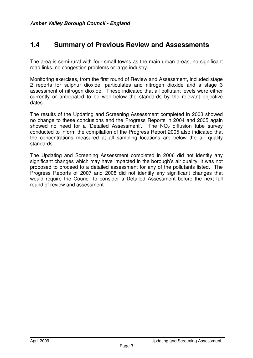### **1.4 Summary of Previous Review and Assessments**

The area is semi-rural with four small towns as the main urban areas, no significant road links, no congestion problems or large industry.

Monitoring exercises, from the first round of Review and Assessment, included stage 2 reports for sulphur dioxide, particulates and nitrogen dioxide and a stage 3 assessment of nitrogen dioxide. These indicated that all pollutant levels were either currently or anticipated to be well below the standards by the relevant objective dates.

The results of the Updating and Screening Assessment completed in 2003 showed no change to these conclusions and the Progress Reports in 2004 and 2005 again showed no need for a 'Detailed Assessment'. The  $NO<sub>2</sub>$  diffusion tube survey conducted to inform the compilation of the Progress Report 2005 also indicated that the concentrations measured at all sampling locations are below the air quality standards.

The Updating and Screening Assessment completed in 2006 did not identify any significant changes which may have impacted in the borough's air quality, it was not proposed to proceed to a detailed assessment for any of the pollutants listed. The Progress Reports of 2007 and 2008 did not identify any significant changes that would require the Council to consider a Detailed Assessment before the next full round of review and assessment.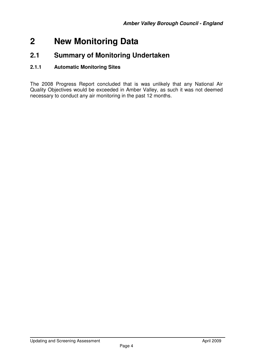## **2 New Monitoring Data**

## **2.1 Summary of Monitoring Undertaken**

#### **2.1.1 Automatic Monitoring Sites**

The 2008 Progress Report concluded that is was unlikely that any National Air Quality Objectives would be exceeded in Amber Valley, as such it was not deemed necessary to conduct any air monitoring in the past 12 months.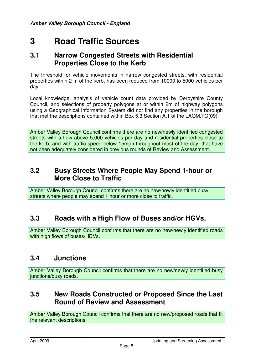## **3 Road Traffic Sources**

### **3.1 Narrow Congested Streets with Residential Properties Close to the Kerb**

The threshold for vehicle movements in narrow congested streets, with residential properties within 2 m of the kerb, has been reduced from 10000 to 5000 vehicles per day.

Local knowledge, analysis of vehicle count data provided by Derbyshire County Council, and selections of property polygons at or within 2m of highway polygons using a Geographical Information System did not find any properties in the borough that met the descriptions contained within Box 5.3 Section A.1 of the LAQM.TG(09).

Amber Valley Borough Council confirms there are no new/newly identified congested streets with a flow above 5,000 vehicles per day and residential properties close to the kerb, and with traffic speed below 15mph throughout most of the day, that have not been adequately considered in previous rounds of Review and Assessment.

## **3.2 Busy Streets Where People May Spend 1-hour or More Close to Traffic**

Amber Valley Borough Council confirms there are no new/newly identified busy streets where people may spend 1 hour or more close to traffic.

## **3.3 Roads with a High Flow of Buses and/or HGVs.**

Amber Valley Borough Council confirms that there are no new/newly identified roads with high flows of buses/HDVs.

### **3.4 Junctions**

Amber Valley Borough Council confirms that there are no new/newly identified busy junctions/busy roads.

## **3.5 New Roads Constructed or Proposed Since the Last Round of Review and Assessment**

Amber Valley Borough Council confirms that there are no new/proposed roads that fit the relevant descriptions.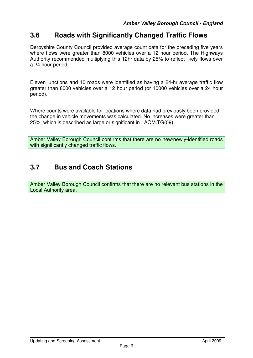## **3.6 Roads with Significantly Changed Traffic Flows**

Derbyshire County Council provided average count data for the preceding five years where flows were greater than 8000 vehicles over a 12 hour period. The Highways Authority recommended multiplying this 12hr data by 25% to reflect likely flows over a 24 hour period.

Eleven junctions and 10 roads were identified as having a 24-hr average traffic flow greater than 8000 vehicles over a 12 hour period (or 10000 vehicles over a 24 hour period).

Where counts were available for locations where data had previously been provided the change in vehicle movements was calculated. No increases were greater than 25%, which is described as large or significant in LAQM.TG(09).

Amber Valley Borough Council confirms that there are no new/newly-identified roads with significantly changed traffic flows.

## **3.7 Bus and Coach Stations**

Amber Valley Borough Council confirms that there are no relevant bus stations in the Local Authority area.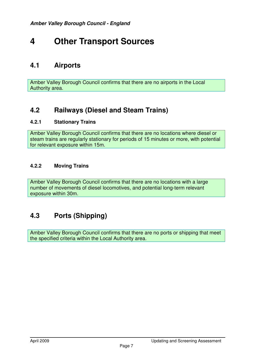## **4 Other Transport Sources**

## **4.1 Airports**

Amber Valley Borough Council confirms that there are no airports in the Local Authority area.

## **4.2 Railways (Diesel and Steam Trains)**

#### **4.2.1 Stationary Trains**

Amber Valley Borough Council confirms that there are no locations where diesel or steam trains are regularly stationary for periods of 15 minutes or more, with potential for relevant exposure within 15m.

#### **4.2.2 Moving Trains**

Amber Valley Borough Council confirms that there are no locations with a large number of movements of diesel locomotives, and potential long-term relevant exposure within 30m.

## **4.3 Ports (Shipping)**

Amber Valley Borough Council confirms that there are no ports or shipping that meet the specified criteria within the Local Authority area.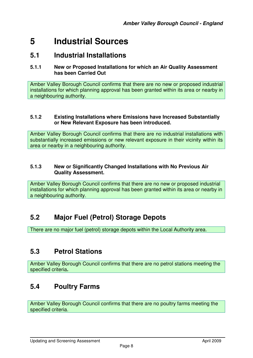## **5 Industrial Sources**

### **5.1 Industrial Installations**

#### **5.1.1 New or Proposed Installations for which an Air Quality Assessment has been Carried Out**

Amber Valley Borough Council confirms that there are no new or proposed industrial installations for which planning approval has been granted within its area or nearby in a neighbouring authority.

#### **5.1.2 Existing Installations where Emissions have Increased Substantially or New Relevant Exposure has been introduced.**

Amber Valley Borough Council confirms that there are no industrial installations with substantially increased emissions or new relevant exposure in their vicinity within its area or nearby in a neighbouring authority.

#### **5.1.3 New or Significantly Changed Installations with No Previous Air Quality Assessment.**

Amber Valley Borough Council confirms that there are no new or proposed industrial installations for which planning approval has been granted within its area or nearby in a neighbouring authority.

## **5.2 Major Fuel (Petrol) Storage Depots**

There are no major fuel (petrol) storage depots within the Local Authority area.

## **5.3 Petrol Stations**

Amber Valley Borough Council confirms that there are no petrol stations meeting the specified criteria**.** 

## **5.4 Poultry Farms**

Amber Valley Borough Council confirms that there are no poultry farms meeting the specified criteria.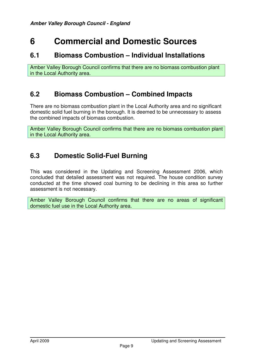## **6 Commercial and Domestic Sources**

### **6.1 Biomass Combustion – Individual Installations**

Amber Valley Borough Council confirms that there are no biomass combustion plant in the Local Authority area.

### **6.2 Biomass Combustion – Combined Impacts**

There are no biomass combustion plant in the Local Authority area and no significant domestic solid fuel burning in the borough. It is deemed to be unnecessary to assess the combined impacts of biomass combustion.

Amber Valley Borough Council confirms that there are no biomass combustion plant in the Local Authority area.

## **6.3 Domestic Solid-Fuel Burning**

This was considered in the Updating and Screening Assessment 2006, which concluded that detailed assessment was not required. The house condition survey conducted at the time showed coal burning to be declining in this area so further assessment is not necessary.

Amber Valley Borough Council confirms that there are no areas of significant domestic fuel use in the Local Authority area.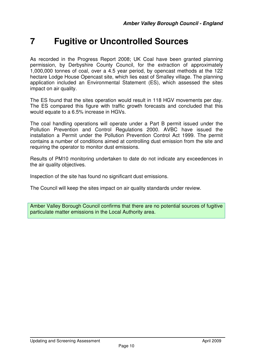## **7 Fugitive or Uncontrolled Sources**

As recorded in the Progress Report 2008; UK Coal have been granted planning permission, by Derbyshire County Council, for the extraction of approximately 1,000,000 tonnes of coal, over a 4.5 year period, by opencast methods at the 122 hectare Lodge House Opencast site, which lies east of Smalley village. The planning application included an Environmental Statement (ES), which assessed the sites impact on air quality.

The ES found that the sites operation would result in 118 HGV movements per day. The ES compared this figure with traffic growth forecasts and concluded that this would equate to a 6.5% increase in HGVs.

The coal handling operations will operate under a Part B permit issued under the Pollution Prevention and Control Regulations 2000. AVBC have issued the installation a Permit under the Pollution Prevention Control Act 1999. The permit contains a number of conditions aimed at controlling dust emission from the site and requiring the operator to monitor dust emissions.

Results of PM10 monitoring undertaken to date do not indicate any exceedences in the air quality objectives.

Inspection of the site has found no significant dust emissions.

The Council will keep the sites impact on air quality standards under review.

Amber Valley Borough Council confirms that there are no potential sources of fugitive particulate matter emissions in the Local Authority area.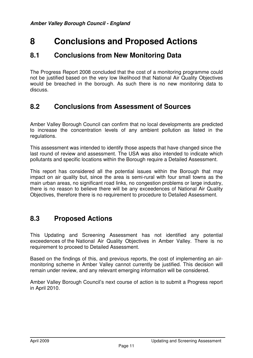## **8 Conclusions and Proposed Actions**

### **8.1 Conclusions from New Monitoring Data**

The Progress Report 2008 concluded that the cost of a monitoring programme could not be justified based on the very low likelihood that National Air Quality Objectives would be breached in the borough. As such there is no new monitoring data to discuss.

### **8.2 Conclusions from Assessment of Sources**

Amber Valley Borough Council can confirm that no local developments are predicted to increase the concentration levels of any ambient pollution as listed in the regulations.

This assessment was intended to identify those aspects that have changed since the last round of review and assessment. The USA was also intended to indicate which pollutants and specific locations within the Borough require a Detailed Assessment.

This report has considered all the potential issues within the Borough that may impact on air quality but, since the area is semi-rural with four small towns as the main urban areas, no significant road links, no congestion problems or large industry, there is no reason to believe there will be any exceedences of National Air Quality Objectives, therefore there is no requirement to procedure to Detailed Assessment.

## **8.3 Proposed Actions**

This Updating and Screening Assessment has not identified any potential exceedences of the National Air Quality Objectives in Amber Valley. There is no requirement to proceed to Detailed Assessment.

Based on the findings of this, and previous reports, the cost of implementing an airmonitoring scheme in Amber Valley cannot currently be justified. This decision will remain under review, and any relevant emerging information will be considered.

Amber Valley Borough Council's next course of action is to submit a Progress report in April 2010.